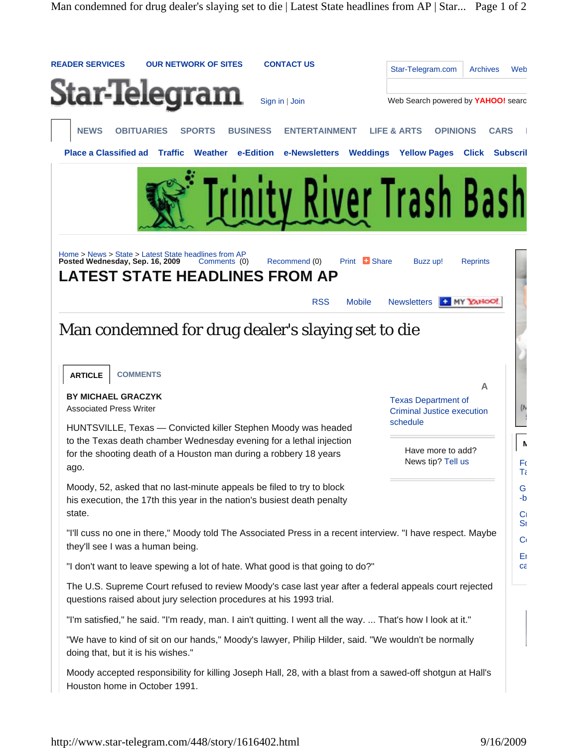